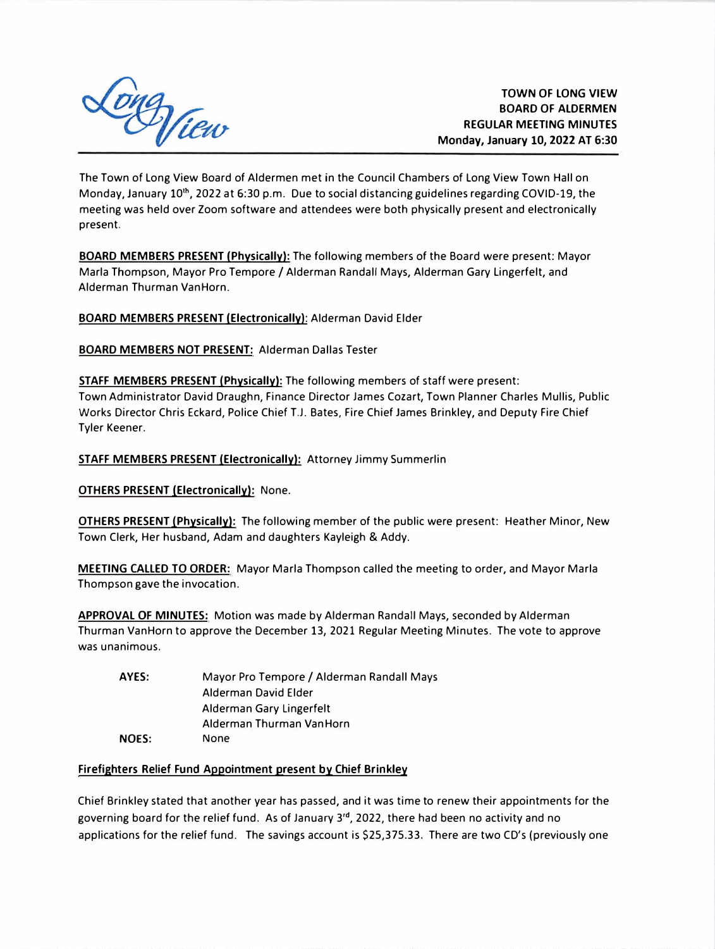

The Town of Long View Board of Aldermen met in the Council Chambers of Long View Town Hall on Monday, January 10<sup>th</sup>, 2022 at 6:30 p.m. Due to social distancing guidelines regarding COVID-19, the meeting was held over Zoom software and attendees were both physically present and electronically present.

**BOARD MEMBERS PRESENT {Physically):** The following members of the Board were present: Mayor Marla Thompson, Mayor Pro Tempore / Alderman Randall Mays, Alderman Gary Lingerfelt, and Alderman Thurman Van Horn.

**BOARD MEMBERS PRESENT (Electronically}:** Alderman David Elder

**BOARD MEMBERS NOT PRESENT:** Alderman Dallas Tester

**STAFF MEMBERS PRESENT (Physically):** The following members of staff were present: Town Administrator David Draughn, Finance Director James Cozart, Town Planner Charles Mullis, Public Works Director Chris Eckard, Police Chief T.J. Bates, Fire Chief James Brinkley, and Deputy Fire Chief Tyler Keener.

**STAFF MEMBERS PRESENT (Electronically):** Attorney Jimmy Summerlin

**OTHERS PRESENT (Electronically):** None.

**OTHERS PRESENT (Physically):** The following member of the public were present: Heather Minor, New Town Clerk, Her husband, Adam and daughters Kayleigh & Addy.

**MEETING CALLED TO ORDER:** Mayor Marla Thompson called the meeting to order, and Mayor Marla Thompson **gave** the invocation.

**APPROVAL** OF **MINUTES:** Motion was made by Alderman Randall Mays, seconded by Alderman Thurman VanHorn to approve the December 13, 2021 Regular Meeting Minutes. The vote to approve was unanimous.

| AYES:        | Mayor Pro Tempore / Alderman Randall Mays |
|--------------|-------------------------------------------|
|              | Alderman David Elder                      |
|              | Alderman Gary Lingerfelt                  |
|              | Alderman Thurman Van Horn                 |
| <b>NOES:</b> | None                                      |

#### **Firefighters Relief Fund Appointment present by Chief Brinkley**

Chief Brinkley stated that another year has passed, and it was time to renew their appointments for the governing board for the relief fund. As of January 3<sup>rd</sup>, 2022, there had been no activity and no applications for the relief fund. The savings account is \$25,375.33. There are two CD's (previously one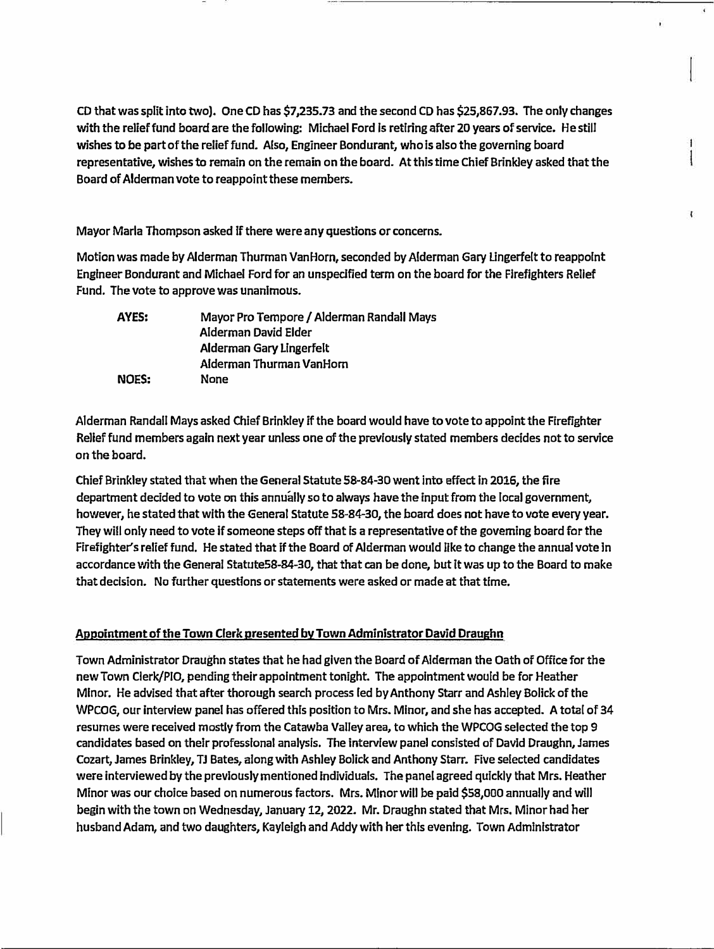**CD that was split into two). One CD has \$7,235.73 and the second CD has \$25,867.93. The only changes with the relief fund board are the following: Michael Ford is retiring after 20 years of service. He still wishes to be part of the relief fund. Also, Engineer Bondurant, who is also the governing board representative, wishes to remain on the remain on the board. At this time Chief Brinkley asked that the Board of Alderman vote to reappoint these members.** 

 $\mathbf{I}$ 

**Mayor Maria Thompson asked If there were any questions or concerns.** 

**Motion was made by Alderman Thurman VanHorn, seconded by Alderman Gary Lingerfelt to reappoint Engineer Bondurant and Michael Ford for an unspecified term on the board for the Firefighters Relief Fund. The vote to approve was unanimous.** 

| AYES:        | Mayor Pro Tempore / Alderman Randall Mays |
|--------------|-------------------------------------------|
|              | Alderman David Elder                      |
|              | Alderman Gary Lingerfelt                  |
|              | Alderman Thurman VanHorn                  |
| <b>NOES:</b> | None                                      |

**Alderman Randall Mays asked Chief Brinkley if the board would have to vote to appoint the Firefighter Relief fund members again next year unless one of the previously stated members decides not to service on the board.** 

**Chief Brinkley stated that when the General Statute 58-84-30 went into effect In 2016, the fire department decided to vote on this annually so to always have the input from the local government, however, he stated that with the General Statute 58-84-30, the board does not have to vote every year. They will only need to vote if someone steps off that ls a representative of the governing board for the**  Firefighter's relief fund. He stated that if the Board of Alderman would like to change the annual vote in **accordance with the General Statute58-84-30, that that can be done, but lt was up to the Board to make that decision. No further questions or statements were asked or made at that time.** 

# **Appointment of the Town Clerk presented by Town Administrator David Draughn**

**Town Administrator Draughn states that he had given the Board of Alderman the Oath of Office for the new Town Clerk/PIO, pending their appointment tonight. The appointment would be for Heather Minor. He advised that after thorough search process led by Anthony Starr and Ashley Bolick of the WPCOG, our Interview panel has offered this position to Mrs. Minor, and she has accepted. A total of 34 resumes were received mostly from the Catawba Valley area, to which the WPCOG selected the top 9 candidates based on their professional analysis. The interview panel consisted of David Draughn, James Cozart, James Brinkley, TJ Bates, along with Ashley Bolick and Anthony Starr. Five selected candidates were interviewed by the previously mentioned lndiViduals. The panel agreed quickly that Mrs. Heather Minor was our choice based on numerous factors. Mrs. Minor will be paid \$58,000 annually and wlll begin with the town on Wednesday, January 12, 2022. Mr. Draughn stated that Mrs. Minor had her husband Adam, and two daughters, Kayleigh and Addy with her this evening. Town Administrator**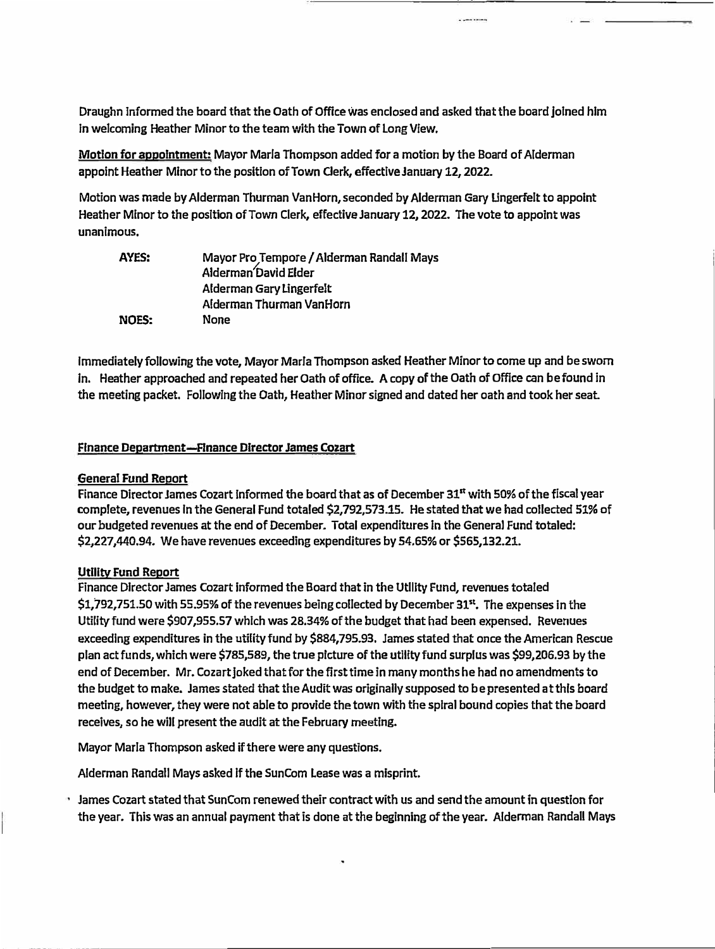**Draughn Informed the board that the Oath of Office was enclosed and asked that the board Joined him In welcoming Heather Minor to the team with the Town of Long View.** 

**Motion for appointment: Mayor Marla Thompson added for a motion by the Board of Alderman appoint Heather Minor to the position of Town derk, effective January 12, 2022.** 

**Motion was made by Alderman Thurman Van Horn, seconded by Alderman Gary Lingerfelt to appoint Heather Minor to the position of Town Clerk, effective January 12, 2022. The vote to appoint was unanimous.** 

| AYES:        | Mayor Pro Tempore / Alderman Randall Mays |
|--------------|-------------------------------------------|
|              | Alderman David Elder                      |
|              | Alderman Gary Lingerfelt                  |
|              | Alderman Thurman VanHorn                  |
| <b>NOES:</b> | None                                      |

**Immediately following the vote, Mayor Marla Thompson asked Heather Minor to come up and be swam In. Heather approached and repeated her Oath of office. A copy of the Oath of Office can be found in the meeting packet. Following the Oath, Heather Minor signed and dated her oath and took her seat.** 

#### **Finance Department-Finance Director James Cozart**

### **General Fund Report**

**Finance Director James Cozart Informed the board that as of December 31st with 50% of the fiscal year complete, revenues In the General Fund totaled \$2,792,573.15. He stated that we had collected 51% of our budgeted revenues at the end of December. Total expenditures In the General Fund totaled: \$2,227,440.94. We have revenues exceeding expenditures by 54.65% or \$565,132.21.** 

#### **Utility Fund Report**

**Finance Director James Cozart Informed the Board that in the Utlllty Fund, revenues totaled \$1,792,751.50 with 55.95% of the revenues being collected by December 31st • The expenses in the Utility fund were \$907,955.57 which was 28.34% of the budget that had been expensed. Revenues exceeding expenditures in the utility fund by \$884,795.93. James stated that once the American Rescue plan act funds, which were \$785,589, the true picture of the utility fund surplus was \$99,206.93 by the end of December. Mr. Cozart Joked that for the first time in many months he had no amendments to the budget to make. James stated that the Audit was originally supposed to be presented at this board meeting, however, they were not able to provide the town with the spiral bound copies that the board receives, so he will present the audit at the February meeting.** 

**Mayor Marla Thompson asked if there were any questions.** 

**Alderman Randall Mays asked If the Sun Com Lease was a misprint.** 

**James Cozart stated that SunCom renewed their contract with us and send the amount in question for the year. This was an annual payment that is done at the beginning of the year. Alderman Randall Mays**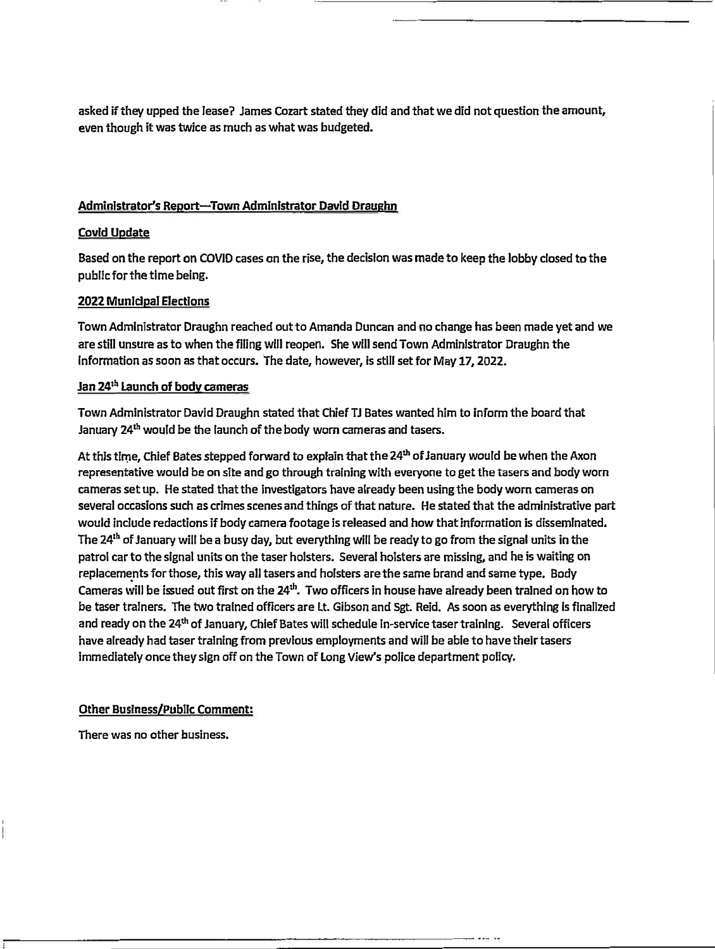**asked if they upped the leaser James Cozart stated they did and that we did not question the amount, even though it was twice as much as what was budgeted.** 

## **Administrator's Report-Town Administrator David Draughn**

## **Covld Update**

**Based on the report on COVID cases on the rise, the decision was made to keep the lobby closed to the publlc for the time being.** 

## **2022 Municipal Elections**

**Town Administrator Draughn reached out to Amanda Duncan and no change has been made yet and we are still unsure as to when the filing wlll reopen. She wlll send Town Administrator Draughn the Information as soon as that occurs. The date, however, ls still set for May 17, 2022.** 

# **Jan 24th Launch of body cameras**

**Town Administrator David Draughn stated that Chief TJ Bates wanted him to inform the board that January 24th would be the launch of the body worn cameras and tasers.** 

**At this time, Chief Bates stepped forward to explain that the 24th of January would be when the Axon representative would be on site and go through training with everyone to get the tasers and body worn cameras set up. He stated that the investigators have already been using the body worn cameras on several occasions such as crimes scenes and things of that nature. He stated that the administrative part would include redactions if body camera footage is released and how that information is disseminated. The 24th of January will be a busy day, but everything will be ready to go from the signal units in the patrol car to the signal units on the taser holsters. Several holsters are missing, and he is waiting on replacements for those, this way all tasers and holsters are the same brand and same type. Body Cameras ,;;,ill be issued out first on the 24th • Two officers in house have already been trained on how to be taser trainers. The two trained officers are Lt. Gibson and Sgt. Reid. As soon as everything ls finalized and ready on the 24th of January, Chief Bates will schedule In-service taser training. Several officers**  have already had taser training from previous employments and will be able to have their tasers **immediately once they sign off on the Town of Long View's police department policy.** 

# **Other Business/Public Comment:**

**There was no other business.**